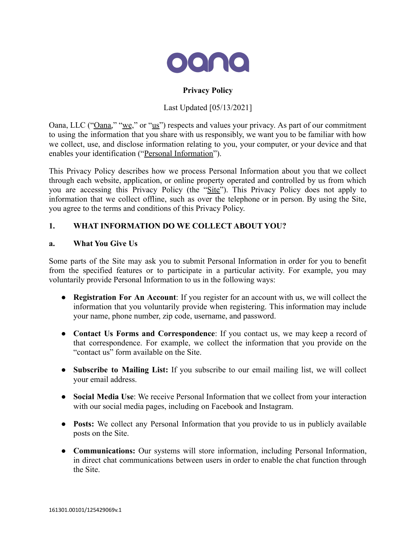

# **Privacy Policy**

## Last Updated [05/13/2021]

Oana, LLC ("<u>Oana,</u>" "we," or "us") respects and values your privacy. As part of our commitment to using the information that you share with us responsibly, we want you to be familiar with how we collect, use, and disclose information relating to you, your computer, or your device and that enables your identification ("Personal Information").

This Privacy Policy describes how we process Personal Information about you that we collect through each website, application, or online property operated and controlled by us from which you are accessing this Privacy Policy (the "Site"). This Privacy Policy does not apply to information that we collect offline, such as over the telephone or in person. By using the Site, you agree to the terms and conditions of this Privacy Policy.

## **1. WHAT INFORMATION DO WE COLLECT ABOUT YOU?**

### **a. What You Give Us**

Some parts of the Site may ask you to submit Personal Information in order for you to benefit from the specified features or to participate in a particular activity. For example, you may voluntarily provide Personal Information to us in the following ways:

- **Registration For An Account**: If you register for an account with us, we will collect the information that you voluntarily provide when registering. This information may include your name, phone number, zip code, username, and password.
- **Contact Us Forms and Correspondence**: If you contact us, we may keep a record of that correspondence. For example, we collect the information that you provide on the "contact us" form available on the Site.
- **Subscribe to Mailing List:** If you subscribe to our email mailing list, we will collect your email address.
- **Social Media Use**: We receive Personal Information that we collect from your interaction with our social media pages, including on Facebook and Instagram.
- **Posts:** We collect any Personal Information that you provide to us in publicly available posts on the Site.
- **Communications:** Our systems will store information, including Personal Information, in direct chat communications between users in order to enable the chat function through the Site.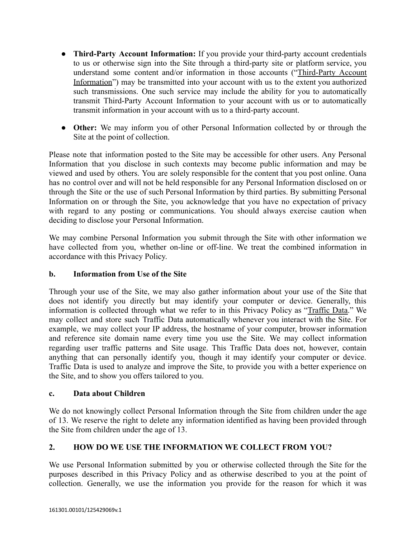- **Third-Party Account Information:** If you provide your third-party account credentials to us or otherwise sign into the Site through a third-party site or platform service, you understand some content and/or information in those accounts ("Third-Party Account Information") may be transmitted into your account with us to the extent you authorized such transmissions. One such service may include the ability for you to automatically transmit Third-Party Account Information to your account with us or to automatically transmit information in your account with us to a third-party account.
- **Other:** We may inform you of other Personal Information collected by or through the Site at the point of collection.

Please note that information posted to the Site may be accessible for other users. Any Personal Information that you disclose in such contexts may become public information and may be viewed and used by others. You are solely responsible for the content that you post online. Oana has no control over and will not be held responsible for any Personal Information disclosed on or through the Site or the use of such Personal Information by third parties. By submitting Personal Information on or through the Site, you acknowledge that you have no expectation of privacy with regard to any posting or communications. You should always exercise caution when deciding to disclose your Personal Information.

We may combine Personal Information you submit through the Site with other information we have collected from you, whether on-line or off-line. We treat the combined information in accordance with this Privacy Policy.

# **b. Information from Use of the Site**

Through your use of the Site, we may also gather information about your use of the Site that does not identify you directly but may identify your computer or device. Generally, this information is collected through what we refer to in this Privacy Policy as "Traffic Data." We may collect and store such Traffic Data automatically whenever you interact with the Site. For example, we may collect your IP address, the hostname of your computer, browser information and reference site domain name every time you use the Site. We may collect information regarding user traffic patterns and Site usage. This Traffic Data does not, however, contain anything that can personally identify you, though it may identify your computer or device. Traffic Data is used to analyze and improve the Site, to provide you with a better experience on the Site, and to show you offers tailored to you.

## **c. Data about Children**

We do not knowingly collect Personal Information through the Site from children under the age of 13. We reserve the right to delete any information identified as having been provided through the Site from children under the age of 13.

## **2. HOW DO WE USE THE INFORMATION WE COLLECT FROM YOU?**

We use Personal Information submitted by you or otherwise collected through the Site for the purposes described in this Privacy Policy and as otherwise described to you at the point of collection. Generally, we use the information you provide for the reason for which it was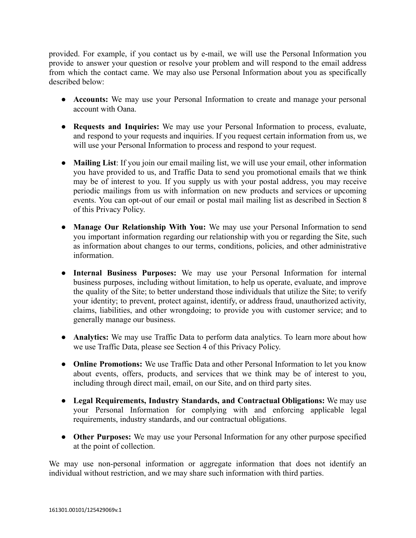provided. For example, if you contact us by e-mail, we will use the Personal Information you provide to answer your question or resolve your problem and will respond to the email address from which the contact came. We may also use Personal Information about you as specifically described below:

- **Accounts:** We may use your Personal Information to create and manage your personal account with Oana.
- **Requests and Inquiries:** We may use your Personal Information to process, evaluate, and respond to your requests and inquiries. If you request certain information from us, we will use your Personal Information to process and respond to your request.
- **Mailing List**: If you join our email mailing list, we will use your email, other information you have provided to us, and Traffic Data to send you promotional emails that we think may be of interest to you. If you supply us with your postal address, you may receive periodic mailings from us with information on new products and services or upcoming events. You can opt-out of our email or postal mail mailing list as described in Section 8 of this Privacy Policy.
- **Manage Our Relationship With You:** We may use your Personal Information to send you important information regarding our relationship with you or regarding the Site, such as information about changes to our terms, conditions, policies, and other administrative information.
- **● Internal Business Purposes:** We may use your Personal Information for internal business purposes, including without limitation, to help us operate, evaluate, and improve the quality of the Site; to better understand those individuals that utilize the Site; to verify your identity; to prevent, protect against, identify, or address fraud, unauthorized activity, claims, liabilities, and other wrongdoing; to provide you with customer service; and to generally manage our business.
- **● Analytics:** We may use Traffic Data to perform data analytics. To learn more about how we use Traffic Data, please see Section 4 of this Privacy Policy.
- **Online Promotions:** We use Traffic Data and other Personal Information to let you know about events, offers, products, and services that we think may be of interest to you, including through direct mail, email, on our Site, and on third party sites.
- **● Legal Requirements, Industry Standards, and Contractual Obligations:** We may use your Personal Information for complying with and enforcing applicable legal requirements, industry standards, and our contractual obligations.
- **● Other Purposes:** We may use your Personal Information for any other purpose specified at the point of collection.

We may use non-personal information or aggregate information that does not identify an individual without restriction, and we may share such information with third parties.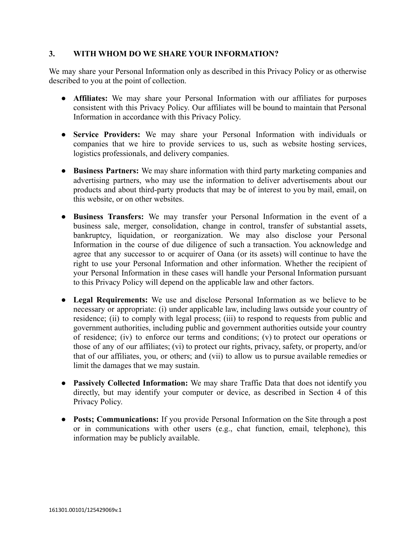### **3. WITH WHOM DO WE SHARE YOUR INFORMATION?**

We may share your Personal Information only as described in this Privacy Policy or as otherwise described to you at the point of collection.

- **Affiliates:** We may share your Personal Information with our affiliates for purposes consistent with this Privacy Policy. Our affiliates will be bound to maintain that Personal Information in accordance with this Privacy Policy.
- **● Service Providers:** We may share your Personal Information with individuals or companies that we hire to provide services to us, such as website hosting services, logistics professionals, and delivery companies.
- **● Business Partners:** We may share information with third party marketing companies and advertising partners, who may use the information to deliver advertisements about our products and about third-party products that may be of interest to you by mail, email, on this website, or on other websites.
- **● Business Transfers:** We may transfer your Personal Information in the event of a business sale, merger, consolidation, change in control, transfer of substantial assets, bankruptcy, liquidation, or reorganization. We may also disclose your Personal Information in the course of due diligence of such a transaction. You acknowledge and agree that any successor to or acquirer of Oana (or its assets) will continue to have the right to use your Personal Information and other information. Whether the recipient of your Personal Information in these cases will handle your Personal Information pursuant to this Privacy Policy will depend on the applicable law and other factors.
- **Legal Requirements:** We use and disclose Personal Information as we believe to be necessary or appropriate: (i) under applicable law, including laws outside your country of residence; (ii) to comply with legal process; (iii) to respond to requests from public and government authorities, including public and government authorities outside your country of residence; (iv) to enforce our terms and conditions; (v) to protect our operations or those of any of our affiliates; (vi) to protect our rights, privacy, safety, or property, and/or that of our affiliates, you, or others; and (vii) to allow us to pursue available remedies or limit the damages that we may sustain.
- **Passively Collected Information:** We may share Traffic Data that does not identify you directly, but may identify your computer or device, as described in Section 4 of this Privacy Policy.
- **Posts; Communications:** If you provide Personal Information on the Site through a post or in communications with other users (e.g., chat function, email, telephone), this information may be publicly available.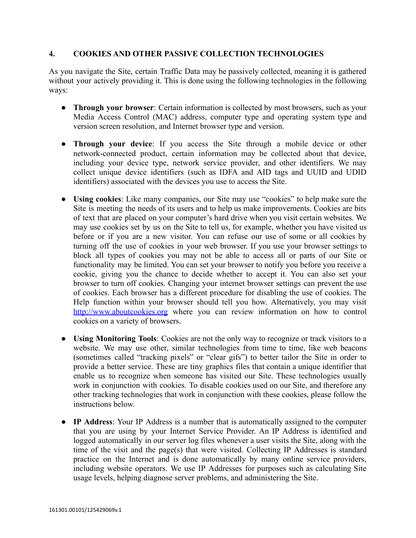#### **4. COOKIES AND OTHER PASSIVE COLLECTION TECHNOLOGIES**

As you navigate the Site, certain Traffic Data may be passively collected, meaning it is gathered without your actively providing it. This is done using the following technologies in the following ways:

- **Through your browser**: Certain information is collected by most browsers, such as your Media Access Control (MAC) address, computer type and operating system type and version screen resolution, and Internet browser type and version.
- **Through your device**: If you access the Site through a mobile device or other network-connected product, certain information may be collected about that device, including your device type, network service provider, and other identifiers. We may collect unique device identifiers (such as IDFA and AID tags and UUID and UDID identifiers) associated with the devices you use to access the Site.
- **Using cookies**: Like many companies, our Site may use "cookies" to help make sure the Site is meeting the needs of its users and to help us make improvements. Cookies are bits of text that are placed on your computer's hard drive when you visit certain websites. We may use cookies set by us on the Site to tell us, for example, whether you have visited us before or if you are a new visitor. You can refuse our use of some or all cookies by turning off the use of cookies in your web browser. If you use your browser settings to block all types of cookies you may not be able to access all or parts of our Site or functionality may be limited. You can set your browser to notify you before you receive a cookie, giving you the chance to decide whether to accept it. You can also set your browser to turn off cookies. Changing your internet browser settings can prevent the use of cookies. Each browser has a different procedure for disabling the use of cookies. The Help function within your browser should tell you how. Alternatively, you may visit <http://www.aboutcookies.org> where you can review information on how to control cookies on a variety of browsers.
- **Using Monitoring Tools**: Cookies are not the only way to recognize or track visitors to a website. We may use other, similar technologies from time to time, like web beacons (sometimes called "tracking pixels" or "clear gifs") to better tailor the Site in order to provide a better service. These are tiny graphics files that contain a unique identifier that enable us to recognize when someone has visited our Site. These technologies usually work in conjunction with cookies. To disable cookies used on our Site, and therefore any other tracking technologies that work in conjunction with these cookies, please follow the instructions below.
- **IP Address**: Your IP Address is a number that is automatically assigned to the computer that you are using by your Internet Service Provider. An IP Address is identified and logged automatically in our server log files whenever a user visits the Site, along with the time of the visit and the page(s) that were visited. Collecting IP Addresses is standard practice on the Internet and is done automatically by many online service providers, including website operators. We use IP Addresses for purposes such as calculating Site usage levels, helping diagnose server problems, and administering the Site.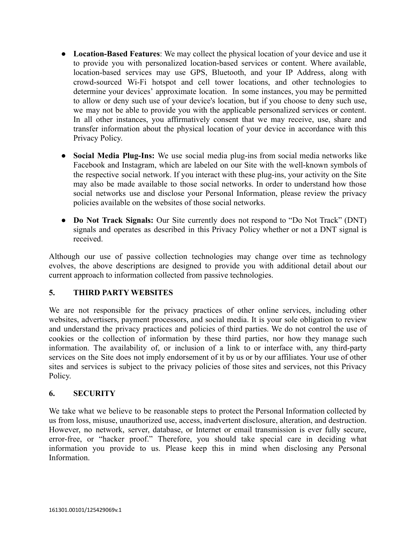- **Location-Based Features**: We may collect the physical location of your device and use it to provide you with personalized location-based services or content. Where available, location-based services may use GPS, Bluetooth, and your IP Address, along with crowd-sourced Wi-Fi hotspot and cell tower locations, and other technologies to determine your devices' approximate location. In some instances, you may be permitted to allow or deny such use of your device's location, but if you choose to deny such use, we may not be able to provide you with the applicable personalized services or content. In all other instances, you affirmatively consent that we may receive, use, share and transfer information about the physical location of your device in accordance with this Privacy Policy.
- **Social Media Plug-Ins:** We use social media plug-ins from social media networks like Facebook and Instagram, which are labeled on our Site with the well-known symbols of the respective social network. If you interact with these plug-ins, your activity on the Site may also be made available to those social networks. In order to understand how those social networks use and disclose your Personal Information, please review the privacy policies available on the websites of those social networks.
- **Do Not Track Signals:** Our Site currently does not respond to "Do Not Track" (DNT) signals and operates as described in this Privacy Policy whether or not a DNT signal is received.

Although our use of passive collection technologies may change over time as technology evolves, the above descriptions are designed to provide you with additional detail about our current approach to information collected from passive technologies.

## **5. THIRD PARTY WEBSITES**

We are not responsible for the privacy practices of other online services, including other websites, advertisers, payment processors, and social media. It is your sole obligation to review and understand the privacy practices and policies of third parties. We do not control the use of cookies or the collection of information by these third parties, nor how they manage such information. The availability of, or inclusion of a link to or interface with, any third-party services on the Site does not imply endorsement of it by us or by our affiliates. Your use of other sites and services is subject to the privacy policies of those sites and services, not this Privacy Policy.

## **6. SECURITY**

We take what we believe to be reasonable steps to protect the Personal Information collected by us from loss, misuse, unauthorized use, access, inadvertent disclosure, alteration, and destruction. However, no network, server, database, or Internet or email transmission is ever fully secure, error-free, or "hacker proof." Therefore, you should take special care in deciding what information you provide to us. Please keep this in mind when disclosing any Personal **Information**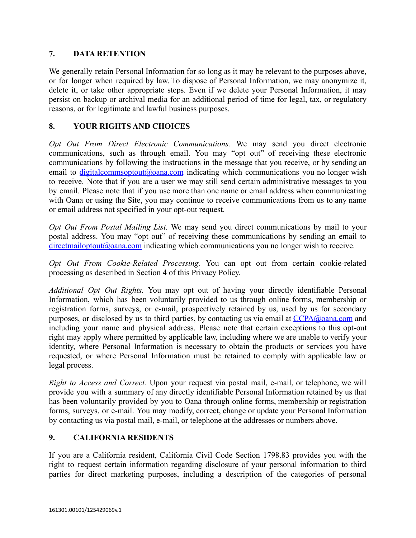## **7. DATA RETENTION**

We generally retain Personal Information for so long as it may be relevant to the purposes above, or for longer when required by law. To dispose of Personal Information, we may anonymize it, delete it, or take other appropriate steps. Even if we delete your Personal Information, it may persist on backup or archival media for an additional period of time for legal, tax, or regulatory reasons, or for legitimate and lawful business purposes.

### **8. YOUR RIGHTS AND CHOICES**

*Opt Out From Direct Electronic Communications.* We may send you direct electronic communications, such as through email. You may "opt out" of receiving these electronic communications by following the instructions in the message that you receive, or by sending an email to [digitalcommsoptout@oana.com](mailto:digitalcommsoptout@oana.com) indicating which communications you no longer wish to receive. Note that if you are a user we may still send certain administrative messages to you by email. Please note that if you use more than one name or email address when communicating with Oana or using the Site, you may continue to receive communications from us to any name or email address not specified in your opt-out request.

*Opt Out From Postal Mailing List.* We may send you direct communications by mail to your postal address. You may "opt out" of receiving these communications by sending an email to  $directionaloptout@oana.com$  indicating which communications you no longer wish to receive.

*Opt Out From Cookie-Related Processing.* You can opt out from certain cookie-related processing as described in Section 4 of this Privacy Policy.

*Additional Opt Out Rights.* You may opt out of having your directly identifiable Personal Information, which has been voluntarily provided to us through online forms, membership or registration forms, surveys, or e-mail, prospectively retained by us, used by us for secondary purposes, or disclosed by us to third parties, by contacting us via email at [CCPA@oana.com](mailto:CCPA@oana.com) and including your name and physical address. Please note that certain exceptions to this opt-out right may apply where permitted by applicable law, including where we are unable to verify your identity, where Personal Information is necessary to obtain the products or services you have requested, or where Personal Information must be retained to comply with applicable law or legal process.

*Right to Access and Correct.* Upon your request via postal mail, e-mail, or telephone, we will provide you with a summary of any directly identifiable Personal Information retained by us that has been voluntarily provided by you to Oana through online forms, membership or registration forms, surveys, or e-mail. You may modify, correct, change or update your Personal Information by contacting us via postal mail, e-mail, or telephone at the addresses or numbers above.

## **9. CALIFORNIA RESIDENTS**

If you are a California resident, California Civil Code Section 1798.83 provides you with the right to request certain information regarding disclosure of your personal information to third parties for direct marketing purposes, including a description of the categories of personal